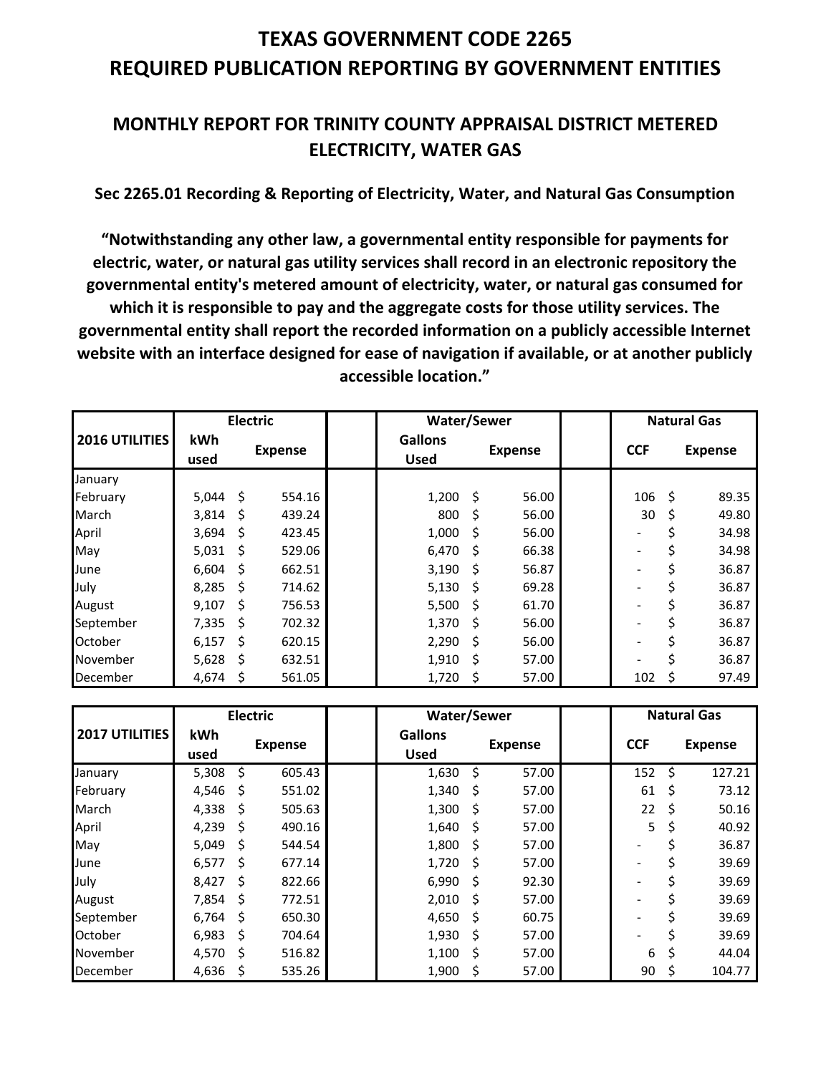## **TEXAS GOVERNMENT CODE 2265 REQUIRED PUBLICATION REPORTING BY GOVERNMENT ENTITIES**

### **MONTHLY REPORT FOR TRINITY COUNTY APPRAISAL DISTRICT METERED ELECTRICITY, WATER GAS**

**Sec 2265.01 Recording & Reporting of Electricity, Water, and Natural Gas Consumption**

**"Notwithstanding any other law, a governmental entity responsible for payments for electric, water, or natural gas utility services shall record in an electronic repository the governmental entity's metered amount of electricity, water, or natural gas consumed for which it is responsible to pay and the aggregate costs for those utility services. The governmental entity shall report the recorded information on a publicly accessible Internet website with an interface designed for ease of navigation if available, or at another publicly accessible location."**

|                | <b>Electric</b> |     |                | <b>Water/Sewer</b>            |      |                |            | <b>Natural Gas</b> |                |
|----------------|-----------------|-----|----------------|-------------------------------|------|----------------|------------|--------------------|----------------|
| 2016 UTILITIES | kWh<br>used     |     | <b>Expense</b> | <b>Gallons</b><br><b>Used</b> |      | <b>Expense</b> | <b>CCF</b> |                    | <b>Expense</b> |
| January        |                 |     |                |                               |      |                |            |                    |                |
| February       | 5.044           | -Ś  | 554.16         | 1,200                         | - \$ | 56.00          | 106        | Ś.                 | 89.35          |
| March          | 3,814           | Ŝ.  | 439.24         | 800                           | - \$ | 56.00          | 30         | \$                 | 49.80          |
| April          | 3,694           | Ŝ   | 423.45         | 1,000                         | - \$ | 56.00          |            |                    | 34.98          |
| May            | 5,031           | -\$ | 529.06         | $6,470$ \$                    |      | 66.38          |            |                    | 34.98          |
| June           | 6,604           | -Ŝ  | 662.51         | $3,190$ \$                    |      | 56.87          |            | Ś                  | 36.87          |
| July           | 8,285           | -Ŝ  | 714.62         | $5,130$ \$                    |      | 69.28          |            |                    | 36.87          |
| August         | 9.107           | Ŝ.  | 756.53         | 5,500                         | - \$ | 61.70          |            |                    | 36.87          |
| September      | 7,335           | Ŝ.  | 702.32         | $1,370$ \$                    |      | 56.00          |            |                    | 36.87          |
| October        | 6,157           | Ŝ   | 620.15         | 2,290                         | - \$ | 56.00          |            |                    | 36.87          |
| November       | 5,628           | Ŝ   | 632.51         | 1,910                         | -\$  | 57.00          |            |                    | 36.87          |
| December       | 4,674           | S   | 561.05         | 1,720                         | S    | 57.00          | 102        | S                  | 97.49          |

|                       | <b>Electric</b> |     |                | Water/Sewer                   |      |                | <b>Natural Gas</b> |    |                |
|-----------------------|-----------------|-----|----------------|-------------------------------|------|----------------|--------------------|----|----------------|
| <b>2017 UTILITIES</b> | kWh<br>used     |     | <b>Expense</b> | <b>Gallons</b><br><b>Used</b> |      | <b>Expense</b> | <b>CCF</b>         |    | <b>Expense</b> |
| January               | 5,308           | Ś.  | 605.43         | 1,630                         | \$   | 57.00          | 152                | Š. | 127.21         |
| February              | 4,546           | -S  | 551.02         | $1,340 \; \; \text{S}$        |      | 57.00          | 61                 | \$ | 73.12          |
| March                 | 4,338           | -Ś  | 505.63         | 1,300                         | - \$ | 57.00          | 22                 | Ŝ  | 50.16          |
| April                 | 4,239           | \$. | 490.16         | 1,640                         | - \$ | 57.00          | 5                  | \$ | 40.92          |
| May                   | 5,049           | Ŝ   | 544.54         | 1,800                         | - \$ | 57.00          |                    |    | 36.87          |
| June                  | 6,577           | Ŝ   | 677.14         | $1,720$ \$                    |      | 57.00          |                    |    | 39.69          |
| July                  | 8,427           | -Ś  | 822.66         | $6,990$ \$                    |      | 92.30          |                    |    | 39.69          |
| August                | 7,854           | Ŝ   | 772.51         | 2,010                         | - \$ | 57.00          |                    |    | 39.69          |
| September             | 6,764           | Ŝ   | 650.30         | 4,650                         | - \$ | 60.75          |                    |    | 39.69          |
| October               | 6,983           | Ŝ   | 704.64         | 1,930                         | - \$ | 57.00          |                    |    | 39.69          |
| November              | 4,570           | Ś   | 516.82         | 1,100                         | - \$ | 57.00          | 6                  | \$ | 44.04          |
| December              | 4,636           |     | 535.26         | 1,900                         | -\$  | 57.00          | 90                 | S  | 104.77         |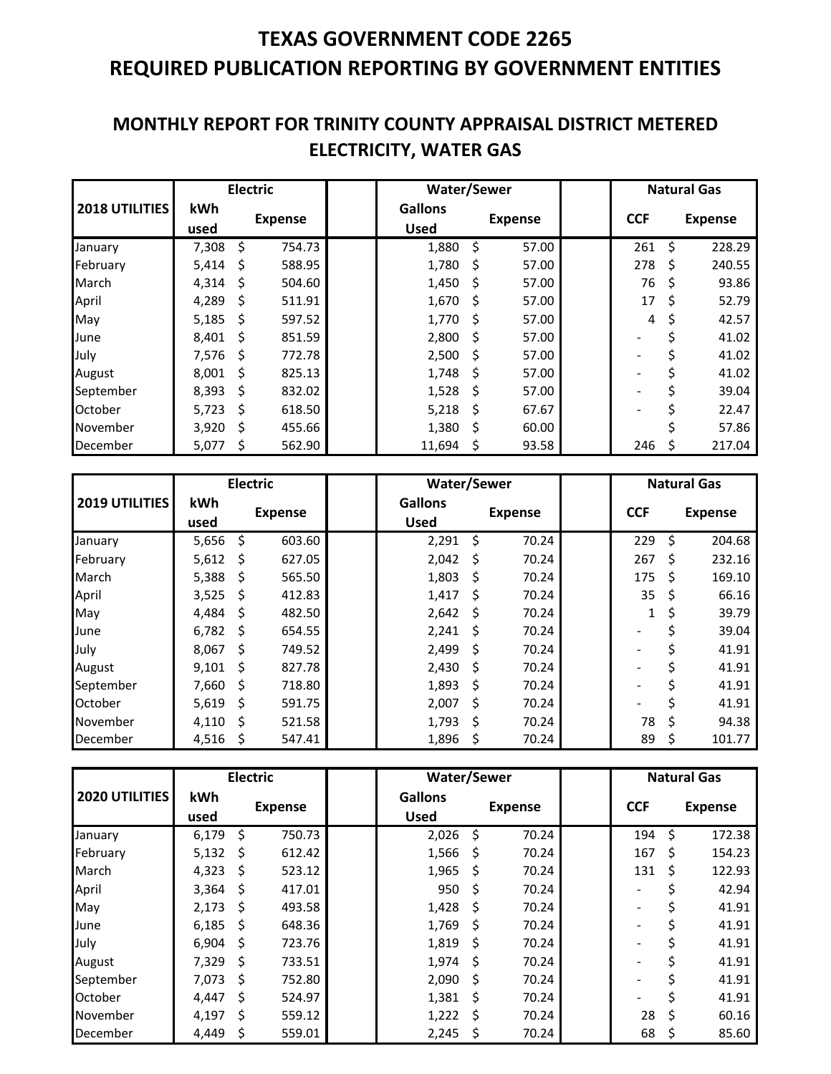# **TEXAS GOVERNMENT CODE 2265 REQUIRED PUBLICATION REPORTING BY GOVERNMENT ENTITIES**

### **MONTHLY REPORT FOR TRINITY COUNTY APPRAISAL DISTRICT METERED ELECTRICITY, WATER GAS**

|                | <b>Electric</b> |    |                | <b>Water/Sewer</b>            |      |                |            | <b>Natural Gas</b> |                |
|----------------|-----------------|----|----------------|-------------------------------|------|----------------|------------|--------------------|----------------|
| 2018 UTILITIES | kWh<br>used     |    | <b>Expense</b> | <b>Gallons</b><br><b>Used</b> |      | <b>Expense</b> | <b>CCF</b> |                    | <b>Expense</b> |
| January        | 7,308           | \$ | 754.73         | 1,880                         | \$   | 57.00          | 261        | Ś                  | 228.29         |
| February       | 5,414           | \$ | 588.95         | 1,780                         | - \$ | 57.00          | 278        | Ś                  | 240.55         |
| March          | 4,314           | \$ | 504.60         | 1,450                         | -\$  | 57.00          | 76         | S                  | 93.86          |
| April          | 4,289           | Ŝ  | 511.91         | 1,670                         | - \$ | 57.00          | 17         | Ś                  | 52.79          |
| May            | 5,185           | Ŝ  | 597.52         | 1,770                         | - \$ | 57.00          | 4          | S                  | 42.57          |
| June           | 8.401           | Ŝ  | 851.59         | 2,800                         | - \$ | 57.00          |            |                    | 41.02          |
| July           | 7,576           | -Ŝ | 772.78         | 2,500                         | - \$ | 57.00          |            |                    | 41.02          |
| August         | 8.001           | Ŝ  | 825.13         | 1,748                         | - \$ | 57.00          |            |                    | 41.02          |
| September      | 8,393           | Ŝ  | 832.02         | 1,528                         | - \$ | 57.00          |            |                    | 39.04          |
| October        | 5,723           | Ś  | 618.50         | 5,218                         | - \$ | 67.67          |            |                    | 22.47          |
| November       | 3,920           | Ś. | 455.66         | 1,380                         | -\$  | 60.00          |            |                    | 57.86          |
| December       | 5,077           | S  | 562.90         | 11,694                        | Ş    | 93.58          | 246        |                    | 217.04         |

|                       | <b>Electric</b> |    |                | <b>Water/Sewer</b>            |      |                |            | <b>Natural Gas</b> |                |
|-----------------------|-----------------|----|----------------|-------------------------------|------|----------------|------------|--------------------|----------------|
| <b>2019 UTILITIES</b> | kWh<br>used     |    | <b>Expense</b> | <b>Gallons</b><br><b>Used</b> |      | <b>Expense</b> | <b>CCF</b> |                    | <b>Expense</b> |
| January               | 5,656           | \$ | 603.60         | 2,291                         | - \$ | 70.24          | 229        | \$                 | 204.68         |
| February              | 5,612           | Ŝ. | 627.05         | 2,042                         | - \$ | 70.24          | 267        | Ś                  | 232.16         |
| March                 | 5,388           | Ŝ  | 565.50         | 1,803                         | - \$ | 70.24          | 175        | Ś                  | 169.10         |
| April                 | 3,525           | \$ | 412.83         | 1,417                         | - \$ | 70.24          | 35         | \$                 | 66.16          |
| May                   | 4,484           | Ŝ. | 482.50         | 2,642                         | - \$ | 70.24          | 1          | \$                 | 39.79          |
| June                  | 6,782           | Ŝ  | 654.55         | 2,241                         | - \$ | 70.24          |            |                    | 39.04          |
| July                  | 8,067           | Ŝ  | 749.52         | 2,499                         | - \$ | 70.24          |            |                    | 41.91          |
| August                | 9,101           | Ŝ. | 827.78         | 2,430                         | - \$ | 70.24          |            |                    | 41.91          |
| September             | 7,660           | -Ŝ | 718.80         | 1,893                         | - \$ | 70.24          |            |                    | 41.91          |
| October               | 5,619           | Ś  | 591.75         | 2,007                         | \$   | 70.24          |            |                    | 41.91          |
| November              | 4,110           | S  | 521.58         | 1,793                         | Ŝ.   | 70.24          | 78         | \$                 | 94.38          |
| December              | 4,516           | S  | 547.41         | 1,896                         | \$   | 70.24          | 89         | S                  | 101.77         |

|                | <b>Electric</b> |     |                | <b>Water/Sewer</b>            |      |                |            | <b>Natural Gas</b> |                |
|----------------|-----------------|-----|----------------|-------------------------------|------|----------------|------------|--------------------|----------------|
| 2020 UTILITIES | kWh<br>used     |     | <b>Expense</b> | <b>Gallons</b><br><b>Used</b> |      | <b>Expense</b> | <b>CCF</b> |                    | <b>Expense</b> |
| January        | 6,179           | Ŝ.  | 750.73         | 2,026                         | - \$ | 70.24          | 194        | Ŝ.                 | 172.38         |
| February       | 5,132           | -\$ | 612.42         | 1,566                         | - \$ | 70.24          | 167        | Ś                  | 154.23         |
| March          | 4,323           | Ŝ.  | 523.12         | 1,965                         | Ŝ.   | 70.24          | 131        | Ś                  | 122.93         |
| April          | 3,364           | -\$ | 417.01         | 950                           | \$   | 70.24          |            |                    | 42.94          |
| May            | 2,173           | Ŝ.  | 493.58         | 1,428                         | Ŝ    | 70.24          |            |                    | 41.91          |
| June           | 6,185           | Ŝ.  | 648.36         | 1,769                         | Ŝ    | 70.24          |            |                    | 41.91          |
| July           | 6,904           | Ŝ   | 723.76         | 1,819                         | Ŝ.   | 70.24          |            |                    | 41.91          |
| August         | 7,329           | Ŝ.  | 733.51         | 1,974                         | Ŝ.   | 70.24          |            |                    | 41.91          |
| September      | 7,073           | -Ŝ  | 752.80         | $2,090$ \$                    |      | 70.24          |            |                    | 41.91          |
| October        | 4.447           | Ŝ.  | 524.97         | 1,381                         | - \$ | 70.24          |            |                    | 41.91          |
| November       | 4,197           | Ŝ.  | 559.12         | $1,222$ \$                    |      | 70.24          | 28         | Ś.                 | 60.16          |
| December       | 4,449           | \$  | 559.01         | 2,245                         | \$   | 70.24          | 68         |                    | 85.60          |